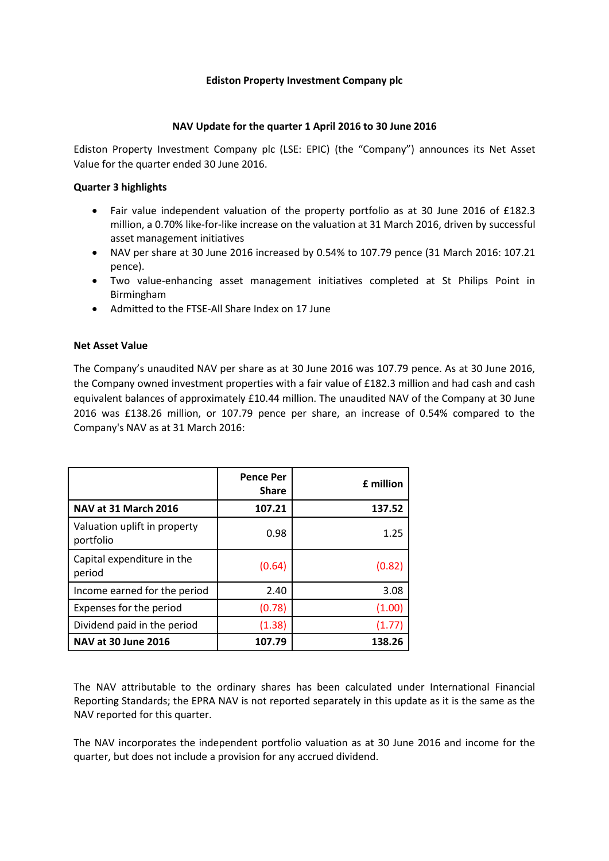### **Ediston Property Investment Company plc**

## **NAV Update for the quarter 1 April 2016 to 30 June 2016**

Ediston Property Investment Company plc (LSE: EPIC) (the "Company") announces its Net Asset Value for the quarter ended 30 June 2016.

# **Quarter 3 highlights**

- Fair value independent valuation of the property portfolio as at 30 June 2016 of £182.3 million, a 0.70% like-for-like increase on the valuation at 31 March 2016, driven by successful asset management initiatives
- NAV per share at 30 June 2016 increased by 0.54% to 107.79 pence (31 March 2016: 107.21 pence).
- Two value-enhancing asset management initiatives completed at St Philips Point in Birmingham
- Admitted to the FTSE-All Share Index on 17 June

# **Net Asset Value**

The Company's unaudited NAV per share as at 30 June 2016 was 107.79 pence. As at 30 June 2016, the Company owned investment properties with a fair value of £182.3 million and had cash and cash equivalent balances of approximately £10.44 million. The unaudited NAV of the Company at 30 June 2016 was £138.26 million, or 107.79 pence per share, an increase of 0.54% compared to the Company's NAV as at 31 March 2016:

|                                           | <b>Pence Per</b><br><b>Share</b> | £ million |
|-------------------------------------------|----------------------------------|-----------|
| <b>NAV at 31 March 2016</b>               | 107.21                           | 137.52    |
| Valuation uplift in property<br>portfolio | 0.98                             | 1.25      |
| Capital expenditure in the<br>period      | (0.64)                           | (0.82)    |
| Income earned for the period              | 2.40                             | 3.08      |
| Expenses for the period                   | (0.78)                           | (1.00)    |
| Dividend paid in the period               | (1.38)                           | (1.77)    |
| <b>NAV at 30 June 2016</b>                | 107.79                           | 138.26    |

The NAV attributable to the ordinary shares has been calculated under International Financial Reporting Standards; the EPRA NAV is not reported separately in this update as it is the same as the NAV reported for this quarter.

The NAV incorporates the independent portfolio valuation as at 30 June 2016 and income for the quarter, but does not include a provision for any accrued dividend.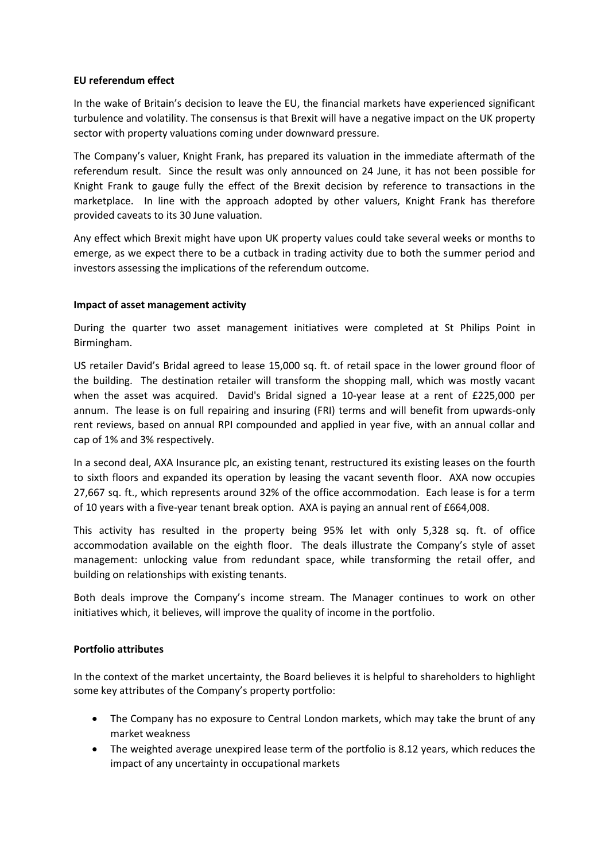## **EU referendum effect**

In the wake of Britain's decision to leave the EU, the financial markets have experienced significant turbulence and volatility. The consensus is that Brexit will have a negative impact on the UK property sector with property valuations coming under downward pressure.

The Company's valuer, Knight Frank, has prepared its valuation in the immediate aftermath of the referendum result. Since the result was only announced on 24 June, it has not been possible for Knight Frank to gauge fully the effect of the Brexit decision by reference to transactions in the marketplace. In line with the approach adopted by other valuers, Knight Frank has therefore provided caveats to its 30 June valuation.

Any effect which Brexit might have upon UK property values could take several weeks or months to emerge, as we expect there to be a cutback in trading activity due to both the summer period and investors assessing the implications of the referendum outcome.

## **Impact of asset management activity**

During the quarter two asset management initiatives were completed at St Philips Point in Birmingham.

US retailer David's Bridal agreed to lease 15,000 sq. ft. of retail space in the lower ground floor of the building. The destination retailer will transform the shopping mall, which was mostly vacant when the asset was acquired. David's Bridal signed a 10-year lease at a rent of £225,000 per annum. The lease is on full repairing and insuring (FRI) terms and will benefit from upwards-only rent reviews, based on annual RPI compounded and applied in year five, with an annual collar and cap of 1% and 3% respectively.

In a second deal, AXA Insurance plc, an existing tenant, restructured its existing leases on the fourth to sixth floors and expanded its operation by leasing the vacant seventh floor. AXA now occupies 27,667 sq. ft., which represents around 32% of the office accommodation. Each lease is for a term of 10 years with a five-year tenant break option. AXA is paying an annual rent of £664,008.

This activity has resulted in the property being 95% let with only 5,328 sq. ft. of office accommodation available on the eighth floor. The deals illustrate the Company's style of asset management: unlocking value from redundant space, while transforming the retail offer, and building on relationships with existing tenants.

Both deals improve the Company's income stream. The Manager continues to work on other initiatives which, it believes, will improve the quality of income in the portfolio.

### **Portfolio attributes**

In the context of the market uncertainty, the Board believes it is helpful to shareholders to highlight some key attributes of the Company's property portfolio:

- The Company has no exposure to Central London markets, which may take the brunt of any market weakness
- The weighted average unexpired lease term of the portfolio is 8.12 years, which reduces the impact of any uncertainty in occupational markets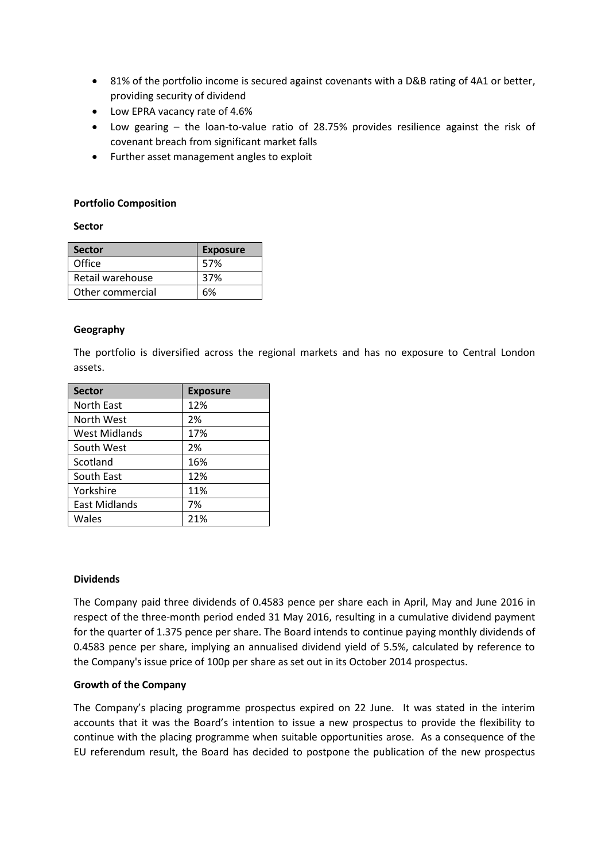- 81% of the portfolio income is secured against covenants with a D&B rating of 4A1 or better, providing security of dividend
- Low EPRA vacancy rate of 4.6%
- Low gearing the loan-to-value ratio of 28.75% provides resilience against the risk of covenant breach from significant market falls
- Further asset management angles to exploit

## **Portfolio Composition**

**Sector**

| <b>Sector</b>    | <b>Exposure</b> |
|------------------|-----------------|
| Office           | 57%             |
| Retail warehouse | 37%             |
| Other commercial | ና%              |

## **Geography**

The portfolio is diversified across the regional markets and has no exposure to Central London assets.

| <b>Sector</b>        | <b>Exposure</b> |
|----------------------|-----------------|
| <b>North East</b>    | 12%             |
| North West           | 2%              |
| West Midlands        | 17%             |
| South West           | 2%              |
| Scotland             | 16%             |
| South East           | 12%             |
| Yorkshire            | 11%             |
| <b>East Midlands</b> | 7%              |
| Wales                | 21%             |

### **Dividends**

The Company paid three dividends of 0.4583 pence per share each in April, May and June 2016 in respect of the three-month period ended 31 May 2016, resulting in a cumulative dividend payment for the quarter of 1.375 pence per share. The Board intends to continue paying monthly dividends of 0.4583 pence per share, implying an annualised dividend yield of 5.5%, calculated by reference to the Company's issue price of 100p per share as set out in its October 2014 prospectus.

### **Growth of the Company**

The Company's placing programme prospectus expired on 22 June. It was stated in the interim accounts that it was the Board's intention to issue a new prospectus to provide the flexibility to continue with the placing programme when suitable opportunities arose. As a consequence of the EU referendum result, the Board has decided to postpone the publication of the new prospectus